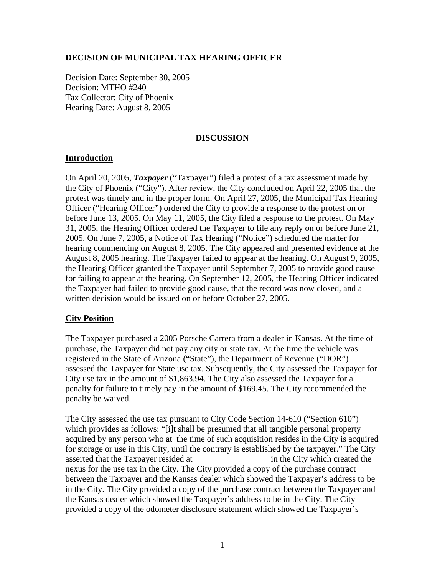# **DECISION OF MUNICIPAL TAX HEARING OFFICER**

Decision Date: September 30, 2005 Decision: MTHO #240 Tax Collector: City of Phoenix Hearing Date: August 8, 2005

# **DISCUSSION**

# **Introduction**

On April 20, 2005, *Taxpayer* ("Taxpayer") filed a protest of a tax assessment made by the City of Phoenix ("City"). After review, the City concluded on April 22, 2005 that the protest was timely and in the proper form. On April 27, 2005, the Municipal Tax Hearing Officer ("Hearing Officer") ordered the City to provide a response to the protest on or before June 13, 2005. On May 11, 2005, the City filed a response to the protest. On May 31, 2005, the Hearing Officer ordered the Taxpayer to file any reply on or before June 21, 2005. On June 7, 2005, a Notice of Tax Hearing ("Notice") scheduled the matter for hearing commencing on August 8, 2005. The City appeared and presented evidence at the August 8, 2005 hearing. The Taxpayer failed to appear at the hearing. On August 9, 2005, the Hearing Officer granted the Taxpayer until September 7, 2005 to provide good cause for failing to appear at the hearing. On September 12, 2005, the Hearing Officer indicated the Taxpayer had failed to provide good cause, that the record was now closed, and a written decision would be issued on or before October 27, 2005.

# **City Position**

The Taxpayer purchased a 2005 Porsche Carrera from a dealer in Kansas. At the time of purchase, the Taxpayer did not pay any city or state tax. At the time the vehicle was registered in the State of Arizona ("State"), the Department of Revenue ("DOR") assessed the Taxpayer for State use tax. Subsequently, the City assessed the Taxpayer for City use tax in the amount of \$1,863.94. The City also assessed the Taxpayer for a penalty for failure to timely pay in the amount of \$169.45. The City recommended the penalty be waived.

The City assessed the use tax pursuant to City Code Section 14-610 ("Section 610") which provides as follows: "[i]t shall be presumed that all tangible personal property acquired by any person who at the time of such acquisition resides in the City is acquired for storage or use in this City, until the contrary is established by the taxpayer." The City asserted that the Taxpayer resided at in the City which created the nexus for the use tax in the City. The City provided a copy of the purchase contract between the Taxpayer and the Kansas dealer which showed the Taxpayer's address to be in the City. The City provided a copy of the purchase contract between the Taxpayer and the Kansas dealer which showed the Taxpayer's address to be in the City. The City provided a copy of the odometer disclosure statement which showed the Taxpayer's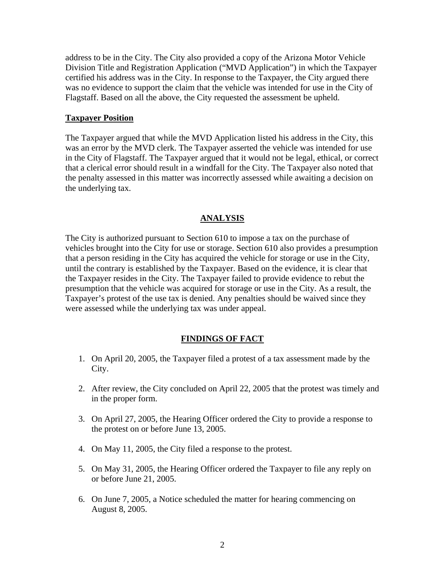address to be in the City. The City also provided a copy of the Arizona Motor Vehicle Division Title and Registration Application ("MVD Application") in which the Taxpayer certified his address was in the City. In response to the Taxpayer, the City argued there was no evidence to support the claim that the vehicle was intended for use in the City of Flagstaff. Based on all the above, the City requested the assessment be upheld.

### **Taxpayer Position**

The Taxpayer argued that while the MVD Application listed his address in the City, this was an error by the MVD clerk. The Taxpayer asserted the vehicle was intended for use in the City of Flagstaff. The Taxpayer argued that it would not be legal, ethical, or correct that a clerical error should result in a windfall for the City. The Taxpayer also noted that the penalty assessed in this matter was incorrectly assessed while awaiting a decision on the underlying tax.

#### **ANALYSIS**

The City is authorized pursuant to Section 610 to impose a tax on the purchase of vehicles brought into the City for use or storage. Section 610 also provides a presumption that a person residing in the City has acquired the vehicle for storage or use in the City, until the contrary is established by the Taxpayer. Based on the evidence, it is clear that the Taxpayer resides in the City. The Taxpayer failed to provide evidence to rebut the presumption that the vehicle was acquired for storage or use in the City. As a result, the Taxpayer's protest of the use tax is denied. Any penalties should be waived since they were assessed while the underlying tax was under appeal.

# **FINDINGS OF FACT**

- 1. On April 20, 2005, the Taxpayer filed a protest of a tax assessment made by the City.
- 2. After review, the City concluded on April 22, 2005 that the protest was timely and in the proper form.
- 3. On April 27, 2005, the Hearing Officer ordered the City to provide a response to the protest on or before June 13, 2005.
- 4. On May 11, 2005, the City filed a response to the protest.
- 5. On May 31, 2005, the Hearing Officer ordered the Taxpayer to file any reply on or before June 21, 2005.
- 6. On June 7, 2005, a Notice scheduled the matter for hearing commencing on August 8, 2005.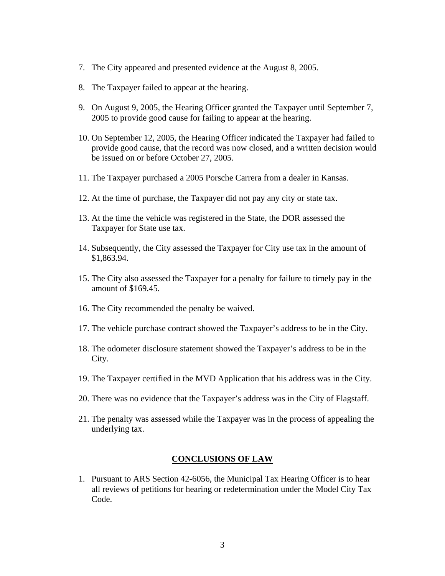- 7. The City appeared and presented evidence at the August 8, 2005.
- 8. The Taxpayer failed to appear at the hearing.
- 9. On August 9, 2005, the Hearing Officer granted the Taxpayer until September 7, 2005 to provide good cause for failing to appear at the hearing.
- 10. On September 12, 2005, the Hearing Officer indicated the Taxpayer had failed to provide good cause, that the record was now closed, and a written decision would be issued on or before October 27, 2005.
- 11. The Taxpayer purchased a 2005 Porsche Carrera from a dealer in Kansas.
- 12. At the time of purchase, the Taxpayer did not pay any city or state tax.
- 13. At the time the vehicle was registered in the State, the DOR assessed the Taxpayer for State use tax.
- 14. Subsequently, the City assessed the Taxpayer for City use tax in the amount of \$1,863.94.
- 15. The City also assessed the Taxpayer for a penalty for failure to timely pay in the amount of \$169.45.
- 16. The City recommended the penalty be waived.
- 17. The vehicle purchase contract showed the Taxpayer's address to be in the City.
- 18. The odometer disclosure statement showed the Taxpayer's address to be in the City.
- 19. The Taxpayer certified in the MVD Application that his address was in the City.
- 20. There was no evidence that the Taxpayer's address was in the City of Flagstaff.
- 21. The penalty was assessed while the Taxpayer was in the process of appealing the underlying tax.

#### **CONCLUSIONS OF LAW**

1. Pursuant to ARS Section 42-6056, the Municipal Tax Hearing Officer is to hear all reviews of petitions for hearing or redetermination under the Model City Tax Code.